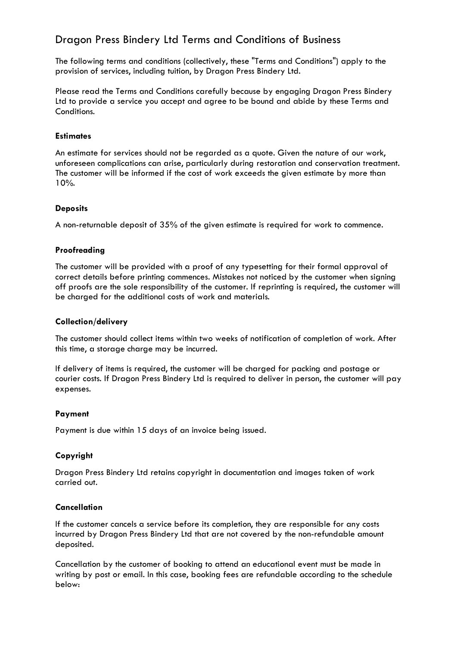# Dragon Press Bindery Ltd Terms and Conditions of Business

The following terms and conditions (collectively, these "Terms and Conditions") apply to the provision of services, including tuition, by Dragon Press Bindery Ltd.

Please read the Terms and Conditions carefully because by engaging Dragon Press Bindery Ltd to provide a service you accept and agree to be bound and abide by these Terms and Conditions.

# **Estimates**

An estimate for services should not be regarded as a quote. Given the nature of our work, unforeseen complications can arise, particularly during restoration and conservation treatment. The customer will be informed if the cost of work exceeds the given estimate by more than 10%.

# **Deposits**

A non-returnable deposit of 35% of the given estimate is required for work to commence.

# **Proofreading**

The customer will be provided with a proof of any typesetting for their formal approval of correct details before printing commences. Mistakes not noticed by the customer when signing off proofs are the sole responsibility of the customer. If reprinting is required, the customer will be charged for the additional costs of work and materials.

# **Collection/delivery**

The customer should collect items within two weeks of notification of completion of work. After this time, a storage charge may be incurred.

If delivery of items is required, the customer will be charged for packing and postage or courier costs. If Dragon Press Bindery Ltd is required to deliver in person, the customer will pay expenses.

# **Payment**

Payment is due within 15 days of an invoice being issued.

# **Copyright**

Dragon Press Bindery Ltd retains copyright in documentation and images taken of work carried out.

# **Cancellation**

If the customer cancels a service before its completion, they are responsible for any costs incurred by Dragon Press Bindery Ltd that are not covered by the non-refundable amount deposited.

Cancellation by the customer of booking to attend an educational event must be made in writing by post or email. In this case, booking fees are refundable according to the schedule below: